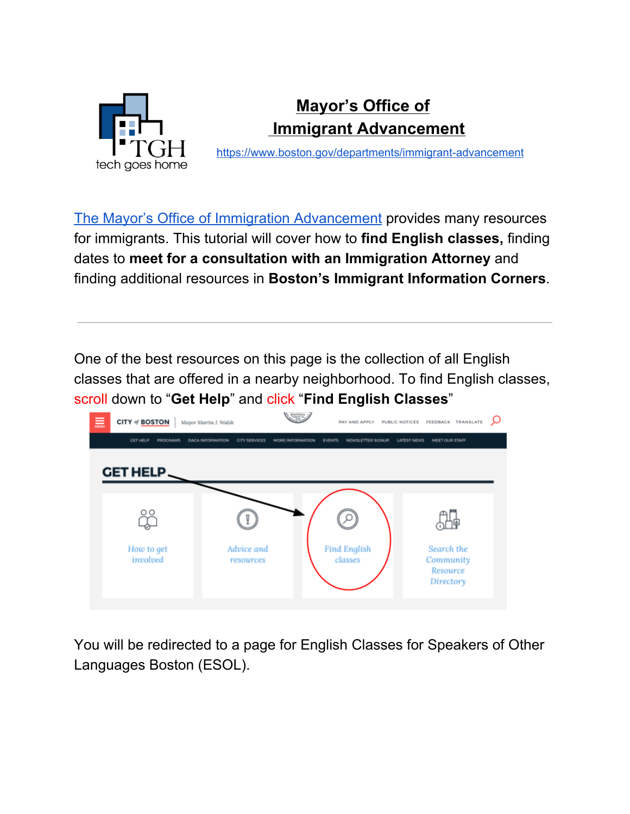

## **Mayor's Office of Immigrant Advancement**

<https://www.boston.gov/departments/immigrant-advancement>

The Mayor's Office of Immigration [Advancement](https://www.boston.gov/departments/immigrant-advancement#programs) provides many resources for immigrants. This tutorial will cover how to **find English classes,** finding dates to **meet for a consultation with an Immigration Attorney** and finding additional resources in **Boston's Immigrant Information Corners**.

One of the best resources on this page is the collection of all English classes that are offered in a nearby neighborhood. To find English classes, scroll down to "**Get Help**" and click "**Find English Classes**"



You will be redirected to a page for English Classes for Speakers of Other Languages Boston (ESOL).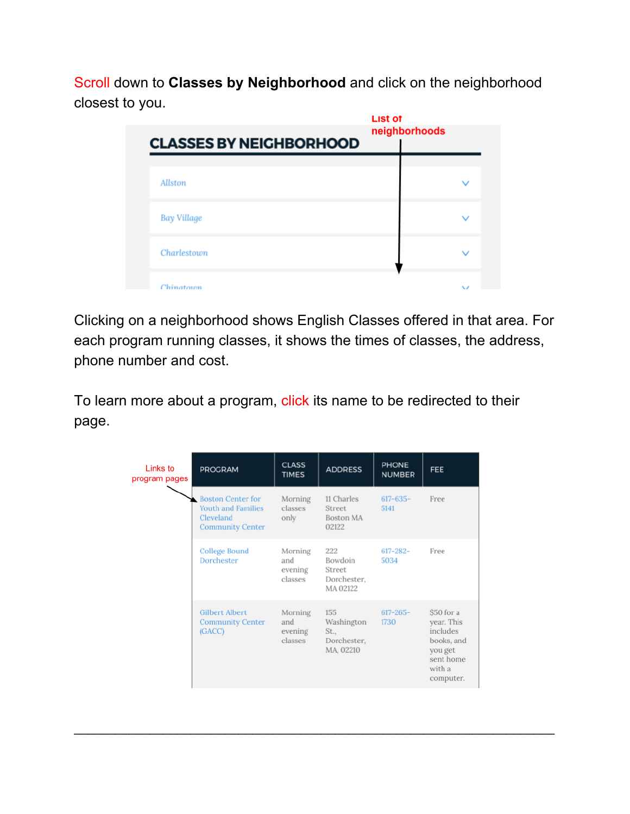Scroll down to **Classes by Neighborhood** and click on the neighborhood closest to you.

| <b>CLASSES BY NEIGHBORHOOD</b> | <b>List of</b><br>neighborhoods |  |
|--------------------------------|---------------------------------|--|
|                                |                                 |  |
| Allston                        |                                 |  |
| <b>Bay Village</b>             |                                 |  |
| Charlestown                    |                                 |  |
| Chinatown                      |                                 |  |

Clicking on a neighborhood shows English Classes offered in that area. For each program running classes, it shows the times of classes, the address, phone number and cost.

To learn more about a program, click its name to be redirected to their page.

| Links to<br>program pages | <b>PROGRAM</b>                                                                                | <b>CLASS</b><br><b>TIMES</b>         | <b>ADDRESS</b>                                        | <b>PHONE</b><br><b>NUMBER</b> | FEE                                                                                               |
|---------------------------|-----------------------------------------------------------------------------------------------|--------------------------------------|-------------------------------------------------------|-------------------------------|---------------------------------------------------------------------------------------------------|
|                           | <b>Boston Center for</b><br><b>Youth and Families</b><br>Cleveland<br><b>Community Center</b> | Morning<br>classes<br>only           | 11 Charles<br>Street<br><b>Boston MA</b><br>02122     | $617 - 635 -$<br>5141         | Free                                                                                              |
|                           | <b>College Bound</b><br>Dorchester                                                            | Morning<br>and<br>evening<br>classes | 222<br>Bowdoin<br>Street<br>Dorchester,<br>MA 02122   | $617 - 282 -$<br>5034         | Free                                                                                              |
|                           | <b>Gilbert Albert</b><br><b>Community Center</b><br>(GACC)                                    | Morning<br>and<br>evening<br>classes | 155<br>Washington<br>St.,<br>Dorchester.<br>MA, 02210 | $617 - 265 -$<br>1730         | \$50 for a<br>year. This<br>includes<br>books, and<br>you get<br>sent home<br>with a<br>computer. |

 $\mathcal{L}_\text{max}$  and  $\mathcal{L}_\text{max}$  and  $\mathcal{L}_\text{max}$  and  $\mathcal{L}_\text{max}$  and  $\mathcal{L}_\text{max}$  and  $\mathcal{L}_\text{max}$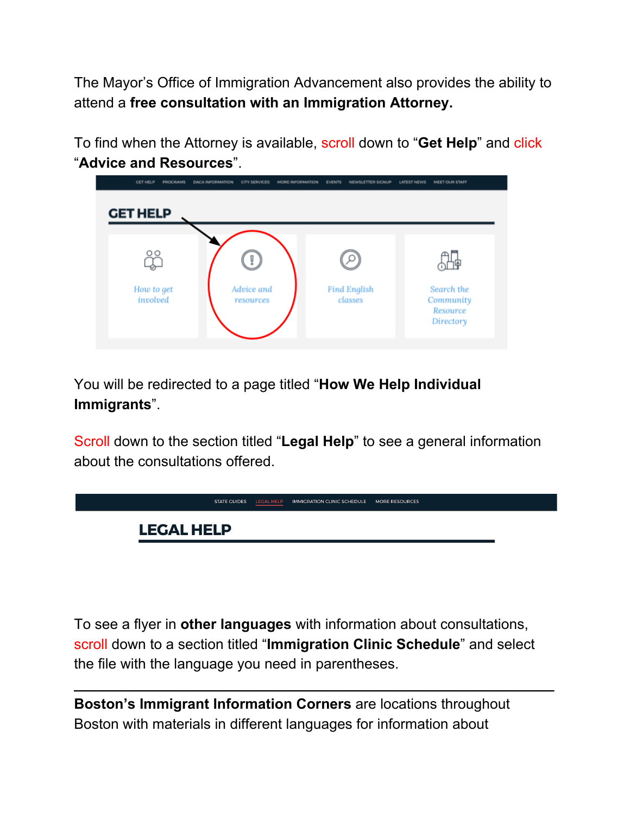The Mayor's Office of Immigration Advancement also provides the ability to attend a **free consultation with an Immigration Attorney.**

To find when the Attorney is available, scroll down to "**Get Help**" and click "**Advice and Resources**".



You will be redirected to a page titled "**How We Help Individual Immigrants**".

Scroll down to the section titled "**Legal Help**" to see a general information about the consultations offered.



To see a flyer in **other languages** with information about consultations, scroll down to a section titled "**Immigration Clinic Schedule**" and select the file with the language you need in parentheses.

**\_\_\_\_\_\_\_\_\_\_\_\_\_\_\_\_\_\_\_\_\_\_\_\_\_\_\_\_\_\_\_\_\_\_\_\_\_\_\_\_\_\_\_\_\_\_\_\_\_\_\_\_\_\_\_\_\_\_\_\_**

**Boston's Immigrant Information Corners** are locations throughout Boston with materials in different languages for information about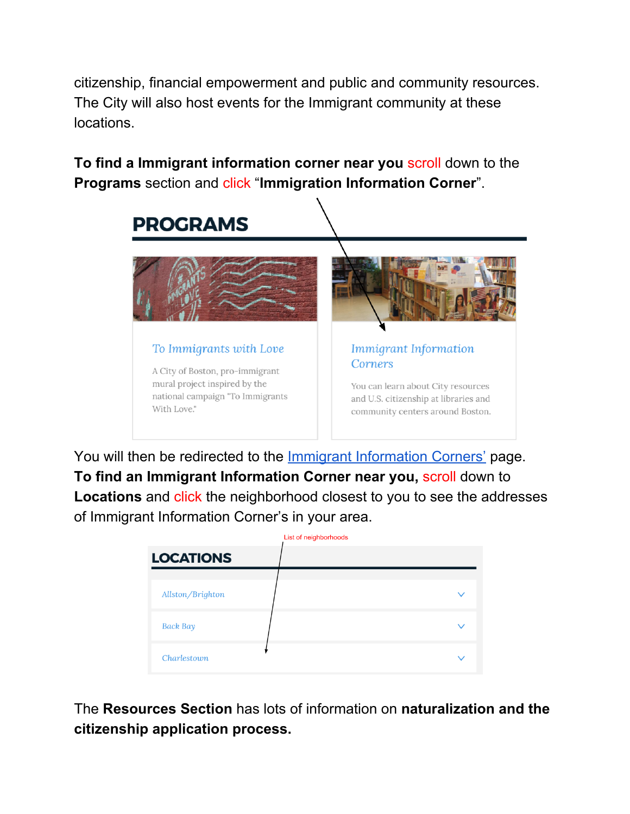citizenship, financial empowerment and public and community resources. The City will also host events for the Immigrant community at these locations.

**To find a Immigrant information corner near you** scroll down to the **Programs** section and click "**Immigration Information Corner**".



You will then be redirected to the **Immigrant [Information](https://www.boston.gov/departments/immigrant-advancement/immigrant-information-corners) Corners'** page. **To find an Immigrant Information Corner near you,** scroll down to Locations and click the neighborhood closest to you to see the addresses of Immigrant Information Corner's in your area.

|                  | List of neighborhoods |  |
|------------------|-----------------------|--|
| <b>LOCATIONS</b> |                       |  |
| Allston/Brighton |                       |  |
| <b>Back Bay</b>  |                       |  |
| Charlestown      |                       |  |

The **Resources Section** has lots of information on **naturalization and the citizenship application process.**